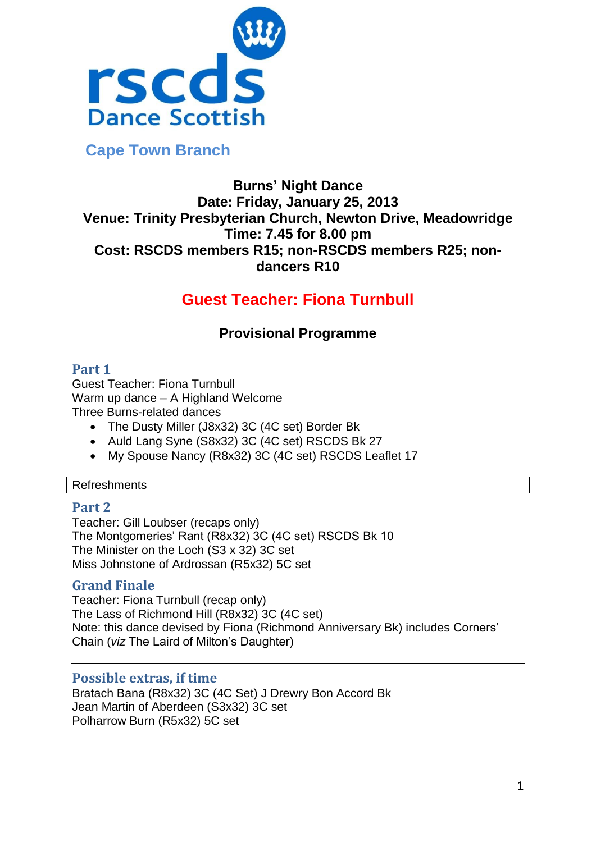

 **Cape Town Branch**

# **Burns' Night Dance Date: Friday, January 25, 2013 Venue: Trinity Presbyterian Church, Newton Drive, Meadowridge Time: 7.45 for 8.00 pm Cost: RSCDS members R15; non-RSCDS members R25; nondancers R10**

# **Guest Teacher: Fiona Turnbull**

# **Provisional Programme**

# **Part 1**

Guest Teacher: Fiona Turnbull Warm up dance – A Highland Welcome Three Burns-related dances

- The Dusty Miller (J8x32) 3C (4C set) Border Bk
- Auld Lang Syne (S8x32) 3C (4C set) RSCDS Bk 27
- My Spouse Nancy (R8x32) 3C (4C set) RSCDS Leaflet 17

## Refreshments

# **Part 2**

Teacher: Gill Loubser (recaps only) The Montgomeries' Rant (R8x32) 3C (4C set) RSCDS Bk 10 The Minister on the Loch (S3 x 32) 3C set Miss Johnstone of Ardrossan (R5x32) 5C set

# **Grand Finale**

Teacher: Fiona Turnbull (recap only) The Lass of Richmond Hill (R8x32) 3C (4C set) Note: this dance devised by Fiona (Richmond Anniversary Bk) includes Corners' Chain (*viz* The Laird of Milton's Daughter)

# **Possible extras, if time**

Bratach Bana (R8x32) 3C (4C Set) J Drewry Bon Accord Bk Jean Martin of Aberdeen (S3x32) 3C set Polharrow Burn (R5x32) 5C set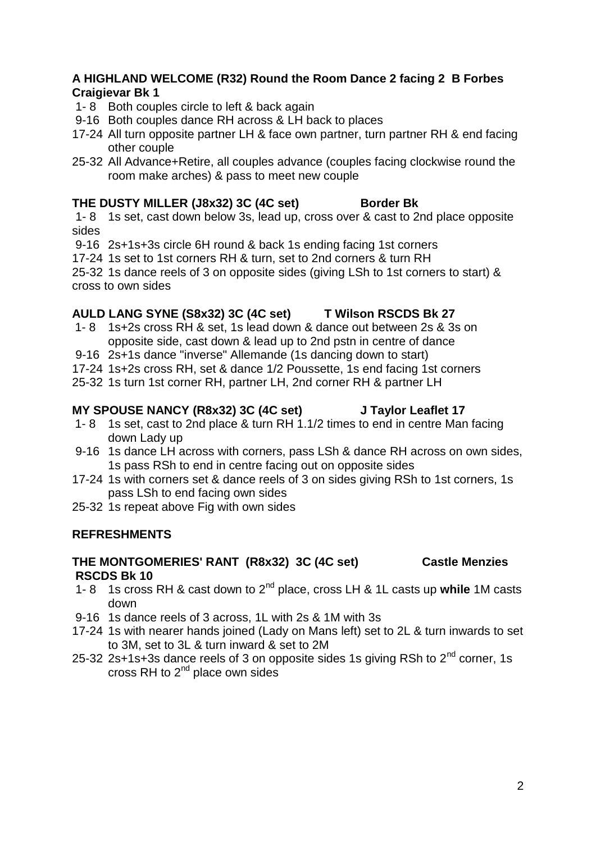## **A HIGHLAND WELCOME (R32) Round the Room Dance 2 facing 2 B Forbes Craigievar Bk 1**

- 1- 8 Both couples circle to left & back again
- 9-16 Both couples dance RH across & LH back to places
- 17-24 All turn opposite partner LH & face own partner, turn partner RH & end facing other couple
- 25-32 All Advance+Retire, all couples advance (couples facing clockwise round the room make arches) & pass to meet new couple

## **THE DUSTY MILLER (J8x32) 3C (4C set) Border Bk**

1- 8 1s set, cast down below 3s, lead up, cross over & cast to 2nd place opposite sides

9-16 2s+1s+3s circle 6H round & back 1s ending facing 1st corners

17-24 1s set to 1st corners RH & turn, set to 2nd corners & turn RH

25-32 1s dance reels of 3 on opposite sides (giving LSh to 1st corners to start) & cross to own sides

## **AULD LANG SYNE (S8x32) 3C (4C set) T Wilson RSCDS Bk 27**

- 1- 8 1s+2s cross RH & set, 1s lead down & dance out between 2s & 3s on opposite side, cast down & lead up to 2nd pstn in centre of dance
- 9-16 2s+1s dance "inverse" Allemande (1s dancing down to start)
- 17-24 1s+2s cross RH, set & dance 1/2 Poussette, 1s end facing 1st corners
- 25-32 1s turn 1st corner RH, partner LH, 2nd corner RH & partner LH

## MY SPOUSE NANCY (R8x32) 3C (4C set) J Taylor Leaflet 17

- 1- 8 1s set, cast to 2nd place & turn RH 1.1/2 times to end in centre Man facing down Lady up
- 9-16 1s dance LH across with corners, pass LSh & dance RH across on own sides, 1s pass RSh to end in centre facing out on opposite sides
- 17-24 1s with corners set & dance reels of 3 on sides giving RSh to 1st corners, 1s pass LSh to end facing own sides
- 25-32 1s repeat above Fig with own sides

## **REFRESHMENTS**

## **THE MONTGOMERIES' RANT (R8x32) 3C (4C set) Castle Menzies RSCDS Bk 10**

- 1- 8 1s cross RH & cast down to 2nd place, cross LH & 1L casts up **while** 1M casts down
- 9-16 1s dance reels of 3 across, 1L with 2s & 1M with 3s
- 17-24 1s with nearer hands joined (Lady on Mans left) set to 2L & turn inwards to set to 3M, set to 3L & turn inward & set to 2M
- 25-32 2s+1s+3s dance reels of 3 on opposite sides 1s giving RSh to  $2^{nd}$  corner, 1s cross RH to  $2<sup>nd</sup>$  place own sides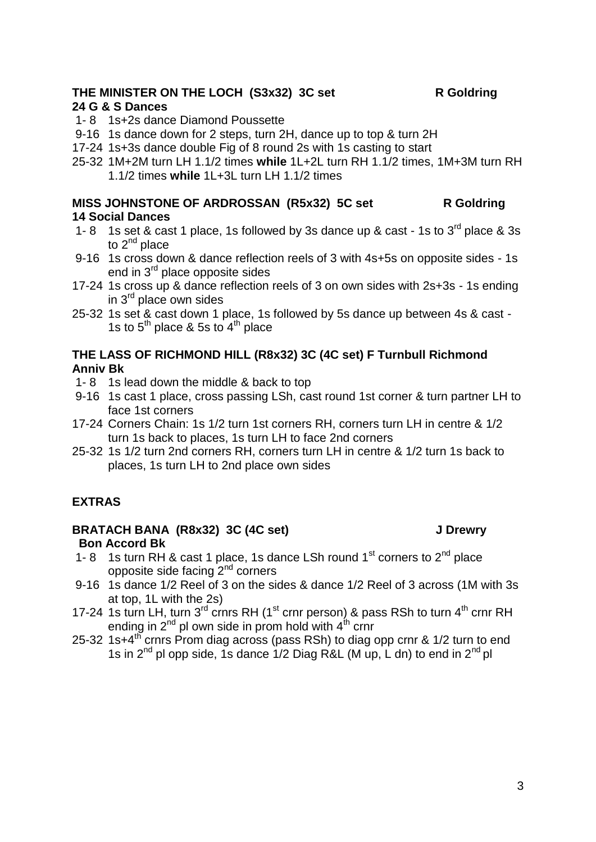# THE MINISTER ON THE LOCH (S3x32) 3C set R Goldring

## **24 G & S Dances**

- 1- 8 1s+2s dance Diamond Poussette
- 9-16 1s dance down for 2 steps, turn 2H, dance up to top & turn 2H
- 17-24 1s+3s dance double Fig of 8 round 2s with 1s casting to start
- 25-32 1M+2M turn LH 1.1/2 times **while** 1L+2L turn RH 1.1/2 times, 1M+3M turn RH 1.1/2 times **while** 1L+3L turn LH 1.1/2 times

## **MISS JOHNSTONE OF ARDROSSAN (R5x32) 5C set R Goldring 14 Social Dances**

- 1- 8 1s set & cast 1 place, 1s followed by 3s dance up & cast 1s to  $3^{\text{rd}}$  place & 3s to  $2^{nd}$  place
- 9-16 1s cross down & dance reflection reels of 3 with 4s+5s on opposite sides 1s end in 3<sup>rd</sup> place opposite sides
- 17-24 1s cross up & dance reflection reels of 3 on own sides with 2s+3s 1s ending in  $3<sup>rd</sup>$  place own sides
- 25-32 1s set & cast down 1 place, 1s followed by 5s dance up between 4s & cast 1s to  $5<sup>th</sup>$  place & 5s to  $4<sup>th</sup>$  place

## **THE LASS OF RICHMOND HILL (R8x32) 3C (4C set) F Turnbull Richmond Anniv Bk**

- 1- 8 1s lead down the middle & back to top
- 9-16 1s cast 1 place, cross passing LSh, cast round 1st corner & turn partner LH to face 1st corners
- 17-24 Corners Chain: 1s 1/2 turn 1st corners RH, corners turn LH in centre & 1/2 turn 1s back to places, 1s turn LH to face 2nd corners
- 25-32 1s 1/2 turn 2nd corners RH, corners turn LH in centre & 1/2 turn 1s back to places, 1s turn LH to 2nd place own sides

# **EXTRAS**

## BRATACH BANA (R8x32) 3C (4C set) **J Drewry Bon Accord Bk**

- 1- 8 1s turn RH & cast 1 place, 1s dance LSh round  $1<sup>st</sup>$  corners to  $2<sup>nd</sup>$  place opposite side facing  $2<sup>nd</sup>$  corners
- 9-16 1s dance 1/2 Reel of 3 on the sides & dance 1/2 Reel of 3 across (1M with 3s at top, 1L with the 2s)
- 17-24 1s turn LH, turn  $3^{rd}$  crnrs RH (1<sup>st</sup> crnr person) & pass RSh to turn  $4^{th}$  crnr RH ending in  $2^{nd}$  pl own side in prom hold with  $4^{th}$  crnr
- 25-32 1s+4<sup>th</sup> crnrs Prom diag across (pass RSh) to diag opp crnr &  $1/2$  turn to end 1s in  $2^{nd}$  pl opp side, 1s dance  $1/2$  Diag R&L (M up, L dn) to end in  $2^{nd}$  pl